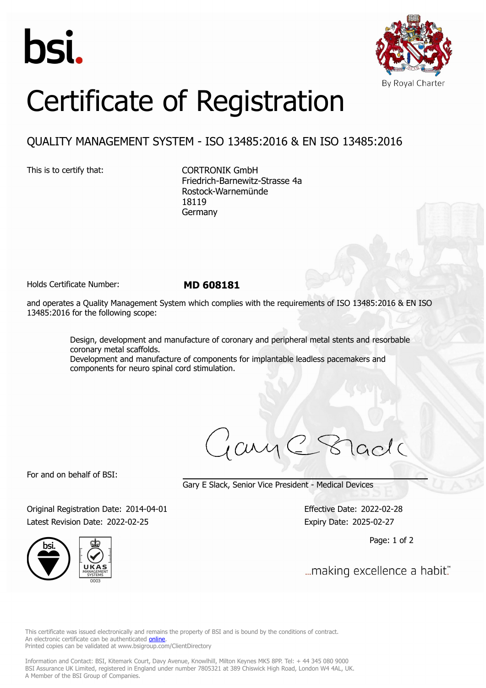



## Certificate of Registration

## QUALITY MANAGEMENT SYSTEM - ISO 13485:2016 & EN ISO 13485:2016

This is to certify that: CORTRONIK GmbH Friedrich-Barnewitz-Strasse 4a Rostock-Warnemünde 18119 Germany

Holds Certificate Number: **MD 608181**

and operates a Quality Management System which complies with the requirements of ISO 13485:2016 & EN ISO 13485:2016 for the following scope:

> Design, development and manufacture of coronary and peripheral metal stents and resorbable coronary metal scaffolds. Development and manufacture of components for implantable leadless pacemakers and components for neuro spinal cord stimulation.

ary

For and on behalf of BSI:

Gary E Slack, Senior Vice President - Medical Devices

Original Registration Date: 2014-04-01 Effective Date: 2022-02-28 Latest Revision Date: 2022-02-25 Expiry Date: 2025-02-27

Page: 1 of 2

... making excellence a habit."

This certificate was issued electronically and remains the property of BSI and is bound by the conditions of contract. An electronic certificate can be authenticated **[online](https://pgplus.bsigroup.com/CertificateValidation/CertificateValidator.aspx?CertificateNumber=MD+608181&ReIssueDate=25%2f02%2f2022&Template=uk)**. Printed copies can be validated at www.bsigroup.com/ClientDirectory

Information and Contact: BSI, Kitemark Court, Davy Avenue, Knowlhill, Milton Keynes MK5 8PP. Tel: + 44 345 080 9000 BSI Assurance UK Limited, registered in England under number 7805321 at 389 Chiswick High Road, London W4 4AL, UK. A Member of the BSI Group of Companies.